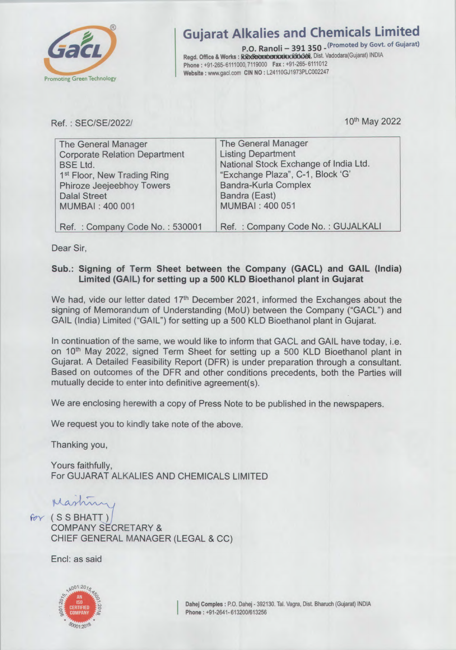

# **Gujarat Alkalies and Chemicals Limited**

P.O. Ranoli - 391 350 - (Promoted by Govt. of Gujarat) Regd. Office & Works : RickRetonbenionicx xxx68, Dist. Vadodara(Gujarat) INDIA Phone: +91-265-6111000, 7119000 Fax: +91-265-6111012 Website : www.gacl.com CIN NO : L24110GJ1973PLC002247

Ref. : SEC/SE/2022/ 10<sup>th</sup> May 2022

| <b>The General Manager</b>              | The General Manager                   |
|-----------------------------------------|---------------------------------------|
| <b>Corporate Relation Department</b>    | <b>Listing Department</b>             |
| <b>BSE Ltd.</b>                         | National Stock Exchange of India Ltd. |
| 1 <sup>st</sup> Floor, New Trading Ring | "Exchange Plaza", C-1, Block 'G'      |
| Phiroze Jeejeebhoy Towers               | <b>Bandra-Kurla Complex</b>           |
| <b>Dalal Street</b>                     | Bandra (East)                         |
| <b>MUMBAI: 400 001</b>                  | <b>MUMBAI: 400 051</b>                |
|                                         |                                       |
| Ref.: Company Code No.: 530001          | Ref.: Company Code No.: GUJALKALI     |

Dear Sir,

### Sub.: Signing of Term Sheet between the Company (GACL) and GAIL (India) Limited (GAIL) for setting up a 500 KLD Bioethanol plant in Gujarat

We had, vide our letter dated  $17<sup>th</sup>$  December 2021, informed the Exchanges about the signing of Memorandum of Understanding (MoU) between the Company ("GACL") and GAIL (India) Limited ("GAIL") for setting up a 500 KLD Bioethanol plant in Gujarat.

In continuation of the same, we would like to inform that GACL and GAIL have today, i.e. on 10<sup>th</sup> May 2022, signed Term Sheet for setting up a 500 KLD Bioethanol plant in Gujarat. A Detailed Feasibility Report (DFR) is under preparation through a consultant Based on outcomes of the DFR and other conditions precedents, both the Parties will mutually decide to enter into definitive agreement(s)

We are enclosing herewith a copy of Press Note to be published in the newspapers.

We request you to kindly take note of the above.

Thanking you,

Yours faithfully, For GUJARAT ALKALIES AND CHEMICALS LIMITED

Martiny

COMPANY SECRETARY & CHIEF GENERAL MANAGER (LEGAL & CC)

End: as said

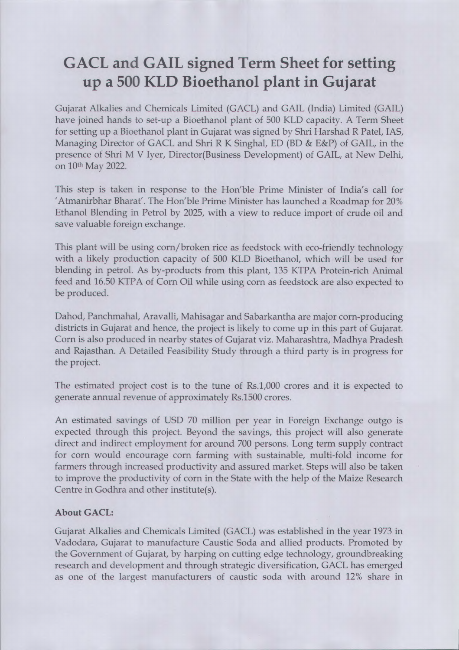## GACL and GAIL signed Term Sheet for setting up a 500 KLD Bioethanol plant in Gujarat

Gujarat Alkalies and Chemicals Limited (GACL) and GAIL (India) Limited (GAIL) have joined hands to set-up a Bioethanol plant of 500 KLD capacity. A Term Sheet for setting up a Bioethanol plant in Gujarat was signed by Shri Harshad R Patel, lAS, Managing Director of GACL and Shri R K Singhal, ED (BD & E&P) of GAIL, in the presence of Shri M V Iyer, Director(Business Development) of GAIL, at New Delhi, on 10th May 2022.

This step is taken in response to the Hon'ble Prime Minister of India's call for 'Atmanirbhar Bharat'. The Hon'ble Prime Minister has launched a Roadmap for 20% Ethanol Blending in Petrol by 2025, with a view to reduce import of crude oil and save valuable foreign exchange

This plant will be using corn/broken rice as feedstock with eco-friendly technology with a likely production capacity of 500 KLD Bioethanol, which will be used for blending in petrol. As by-products from this plant, 135 KTPA Protein-rich Animal feed and 16.50 KTPA of Corn Oil while using corn as feedstock are also expected to be produced.

Dahod, Panchmahal, Aravalli, Mahisagar and Sabarkantha are major corn-producing districts in Gujarat and hence, the project is likely to come up in this part of Gujarat. Corn is also produced in nearby states of Gujarat viz. Maharashtra, Madhya Pradesh and Rajasthan. A Detailed Feasibility Study through a third party is in progress for the project.

The estimated project cost is to the tune of Rs.1,000 crores and it is expected to generate annual revenue of approximately Rs.1500 crores.

An estimated savings of USD 70 million per year in Foreign Exchange outgo is expected through this project. Beyond the savings, this project will also generate direct and indirect employment for around 700 persons. Long term supply contract for corn would encourage corn farming with sustainable, multi-fold income for farmers through increased productivity and assured market. Steps will also be taken to improve the productivity of corn in the State with the help of the Maize Research Centre in Godhra and other institute(s).

### About GACL:

Gujarat Alkalies and Chemicals Limited (GACL) was established in the year 1973 in Vadodara, Gujarat to manufacture Caustic Soda and allied products. Promoted by the Government of Gujarat, by harping on cutting edge technology, groundbreaking research and development and through strategic diversification, GACL has emerged as one of the largest manufacturers of caustic soda with around 12% share in